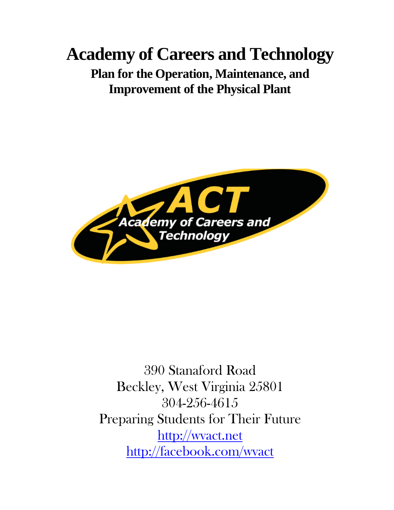# **Academy of Careers and Technology**

# **Plan for the Operation, Maintenance, and Improvement of the Physical Plant**



390 Stanaford Road Beckley, West Virginia 25801 304-256-4615 Preparing Students for Their Future [http://wvact.net](http://wvact.net/) <http://facebook.com/wvact>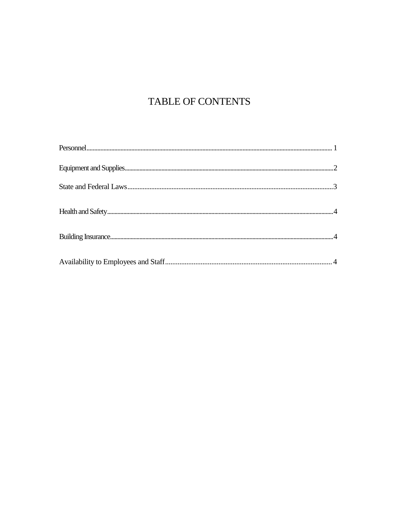# TABLE OF CONTENTS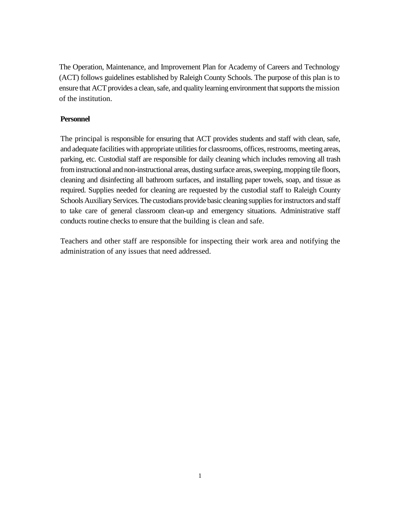The Operation, Maintenance, and Improvement Plan for Academy of Careers and Technology (ACT) follows guidelines established by Raleigh County Schools. The purpose of this plan is to ensure that ACT provides a clean, safe, and quality learning environment that supports the mission of the institution.

# **Personnel**

The principal is responsible for ensuring that ACT provides students and staff with clean, safe, and adequate facilities with appropriate utilities for classrooms, offices, restrooms, meeting areas, parking, etc. Custodial staff are responsible for daily cleaning which includes removing all trash from instructional and non-instructional areas, dusting surface areas, sweeping, mopping tile floors, cleaning and disinfecting all bathroom surfaces, and installing paper towels, soap, and tissue as required. Supplies needed for cleaning are requested by the custodial staff to Raleigh County Schools Auxiliary Services. The custodians provide basic cleaning supplies for instructors and staff to take care of general classroom clean-up and emergency situations. Administrative staff conducts routine checks to ensure that the building is clean and safe.

Teachers and other staff are responsible for inspecting their work area and notifying the administration of any issues that need addressed.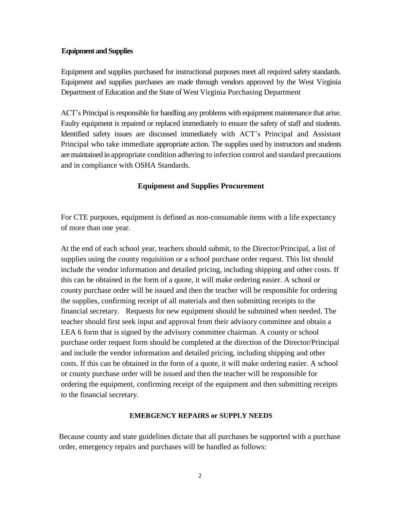### **Equipment andSupplies**

Equipment and supplies purchased for instructional purposes meet all required safety standards. Equipment and supplies purchases are made through vendors approved by the West Virginia Department of Education and the State of West Virginia Purchasing Department

ACT's Principal is responsible for handling any problems with equipment maintenance that arise. Faulty equipment is repaired or replaced immediately to ensure the safety of staff and students. Identified safety issues are discussed immediately with ACT's Principal and Assistant Principal who take immediate appropriate action. The supplies used by instructors and students aremaintained in appropriate condition adhering to infection control and standard precautions and in compliance with OSHA Standards.

# **Equipment and Supplies Procurement**

For CTE purposes, equipment is defined as non-consumable items with a life expectancy of more than one year.

At the end of each school year, teachers should submit, to the Director/Principal, a list of supplies using the county requisition or a school purchase order request. This list should include the vendor information and detailed pricing, including shipping and other costs. If this can be obtained in the form of a quote, it will make ordering easier. A school or county purchase order will be issued and then the teacher will be responsible for ordering the supplies, confirming receipt of all materials and then submitting receipts to the financial secretary. Requests for new equipment should be submitted when needed. The teacher should first seek input and approval from their advisory committee and obtain a LEA 6 form that is signed by the advisory committee chairman. A county or school purchase order request form should be completed at the direction of the Director/Principal and include the vendor information and detailed pricing, including shipping and other costs. If this can be obtained in the form of a quote, it will make ordering easier. A school or county purchase order will be issued and then the teacher will be responsible for ordering the equipment, confirming receipt of the equipment and then submitting receipts to the financial secretary.

#### **EMERGENCY REPAIRS or SUPPLY NEEDS**

Because county and state guidelines dictate that all purchases be supported with a purchase order, emergency repairs and purchases will be handled as follows: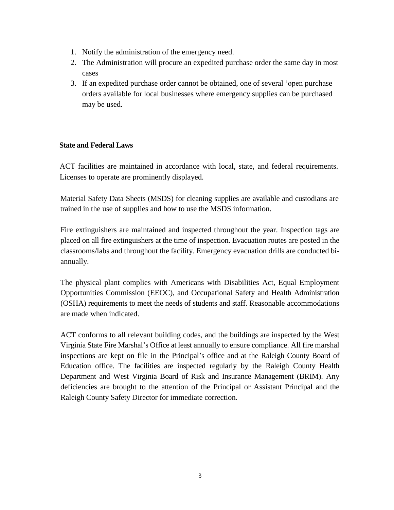- 1. Notify the administration of the emergency need.
- 2. The Administration will procure an expedited purchase order the same day in most cases
- 3. If an expedited purchase order cannot be obtained, one of several 'open purchase orders available for local businesses where emergency supplies can be purchased may be used.

# **State and Federal Laws**

ACT facilities are maintained in accordance with local, state, and federal requirements. Licenses to operate are prominently displayed.

Material Safety Data Sheets (MSDS) for cleaning supplies are available and custodians are trained in the use of supplies and how to use the MSDS information.

Fire extinguishers are maintained and inspected throughout the year. Inspection tags are placed on all fire extinguishers at the time of inspection. Evacuation routes are posted in the classrooms/labs and throughout the facility. Emergency evacuation drills are conducted biannually.

The physical plant complies with Americans with Disabilities Act, Equal Employment Opportunities Commission (EEOC), and Occupational Safety and Health Administration (OSHA) requirements to meet the needs of students and staff. Reasonable accommodations are made when indicated.

ACT conforms to all relevant building codes, and the buildings are inspected by the West Virginia State Fire Marshal's Office at least annually to ensure compliance. All fire marshal inspections are kept on file in the Principal's office and at the Raleigh County Board of Education office. The facilities are inspected regularly by the Raleigh County Health Department and West Virginia Board of Risk and Insurance Management (BRIM). Any deficiencies are brought to the attention of the Principal or Assistant Principal and the Raleigh County Safety Director for immediate correction.